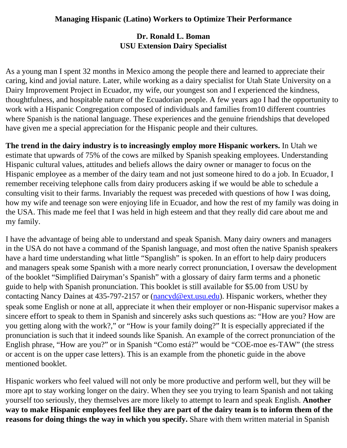## **Dr. Ronald L. Boman USU Extension Dairy Specialist**

As a young man I spent 32 months in Mexico among the people there and learned to appreciate their caring, kind and jovial nature. Later, while working as a dairy specialist for Utah State University on a Dairy Improvement Project in Ecuador, my wife, our youngest son and I experienced the kindness, thoughtfulness, and hospitable nature of the Ecuadorian people. A few years ago I had the opportunity to work with a Hispanic Congregation composed of individuals and families from10 different countries where Spanish is the national language. These experiences and the genuine friendships that developed have given me a special appreciation for the Hispanic people and their cultures.

**The trend in the dairy industry is to increasingly employ more Hispanic workers.** In Utah we estimate that upwards of 75% of the cows are milked by Spanish speaking employees. Understanding Hispanic cultural values, attitudes and beliefs allows the dairy owner or manager to focus on the Hispanic employee as a member of the dairy team and not just someone hired to do a job. In Ecuador, I remember receiving telephone calls from dairy producers asking if we would be able to schedule a consulting visit to their farms. Invariably the request was preceded with questions of how I was doing, how my wife and teenage son were enjoying life in Ecuador, and how the rest of my family was doing in the USA. This made me feel that I was held in high esteem and that they really did care about me and my family.

I have the advantage of being able to understand and speak Spanish. Many dairy owners and managers in the USA do not have a command of the Spanish language, and most often the native Spanish speakers have a hard time understanding what little "Spanglish" is spoken. In an effort to help dairy producers and managers speak some Spanish with a more nearly correct pronunciation, I oversaw the development of the booklet "Simplified Dairyman's Spanish" with a glossary of dairy farm terms and a phonetic guide to help with Spanish pronunciation. This booklet is still available for \$5.00 from USU by contacting Nancy Daines at 435-797-2157 or [\(nancyd@ext.usu.edu\)](mailto:nancyd@ext.usu.edu). Hispanic workers, whether they speak some English or none at all, appreciate it when their employer or non-Hispanic supervisor makes a sincere effort to speak to them in Spanish and sincerely asks such questions as: "How are you? How are you getting along with the work?," or "How is your family doing?" It is especially appreciated if the pronunciation is such that it indeed sounds like Spanish. An example of the correct pronunciation of the English phrase, "How are you?" or in Spanish "Como está?" would be "COE-moe es-TAW" (the stress or accent is on the upper case letters). This is an example from the phonetic guide in the above mentioned booklet.

Hispanic workers who feel valued will not only be more productive and perform well, but they will be more apt to stay working longer on the dairy. When they see you trying to learn Spanish and not taking yourself too seriously, they themselves are more likely to attempt to learn and speak English. **Another way to make Hispanic employees feel like they are part of the dairy team is to inform them of the reasons for doing things the way in which you specify.** Share with them written material in Spanish